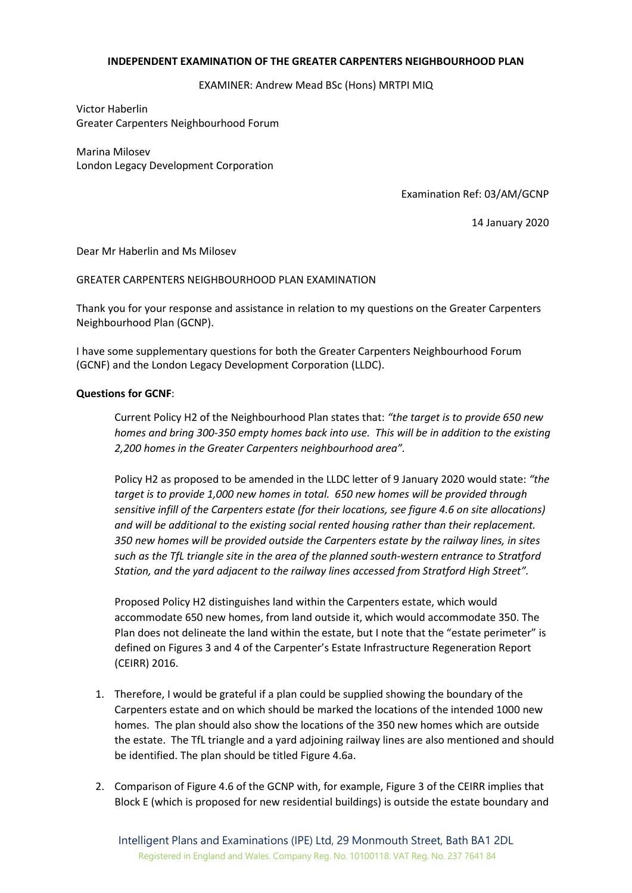## **INDEPENDENT EXAMINATION OF THE GREATER CARPENTERS NEIGHBOURHOOD PLAN**

EXAMINER: Andrew Mead BSc (Hons) MRTPI MIQ

Victor Haberlin Greater Carpenters Neighbourhood Forum

Marina Milosev London Legacy Development Corporation

Examination Ref: 03/AM/GCNP

14 January 2020

Dear Mr Haberlin and Ms Milosev

GREATER CARPENTERS NEIGHBOURHOOD PLAN EXAMINATION

Thank you for your response and assistance in relation to my questions on the Greater Carpenters Neighbourhood Plan (GCNP).

I have some supplementary questions for both the Greater Carpenters Neighbourhood Forum (GCNF) and the London Legacy Development Corporation (LLDC).

## **Questions for GCNF**:

Current Policy H2 of the Neighbourhood Plan states that: *"the target is to provide 650 new homes and bring 300-350 empty homes back into use. This will be in addition to the existing 2,200 homes in the Greater Carpenters neighbourhood area".*

Policy H2 as proposed to be amended in the LLDC letter of 9 January 2020 would state: *"the target is to provide 1,000 new homes in total. 650 new homes will be provided through sensitive infill of the Carpenters estate (for their locations, see figure 4.6 on site allocations) and will be additional to the existing social rented housing rather than their replacement. 350 new homes will be provided outside the Carpenters estate by the railway lines, in sites such as the TfL triangle site in the area of the planned south-western entrance to Stratford Station, and the yard adjacent to the railway lines accessed from Stratford High Street".*

Proposed Policy H2 distinguishes land within the Carpenters estate, which would accommodate 650 new homes, from land outside it, which would accommodate 350. The Plan does not delineate the land within the estate, but I note that the "estate perimeter" is defined on Figures 3 and 4 of the Carpenter's Estate Infrastructure Regeneration Report (CEIRR) 2016.

- 1. Therefore, I would be grateful if a plan could be supplied showing the boundary of the Carpenters estate and on which should be marked the locations of the intended 1000 new homes. The plan should also show the locations of the 350 new homes which are outside the estate. The TfL triangle and a yard adjoining railway lines are also mentioned and should be identified. The plan should be titled Figure 4.6a.
- 2. Comparison of Figure 4.6 of the GCNP with, for example, Figure 3 of the CEIRR implies that Block E (which is proposed for new residential buildings) is outside the estate boundary and